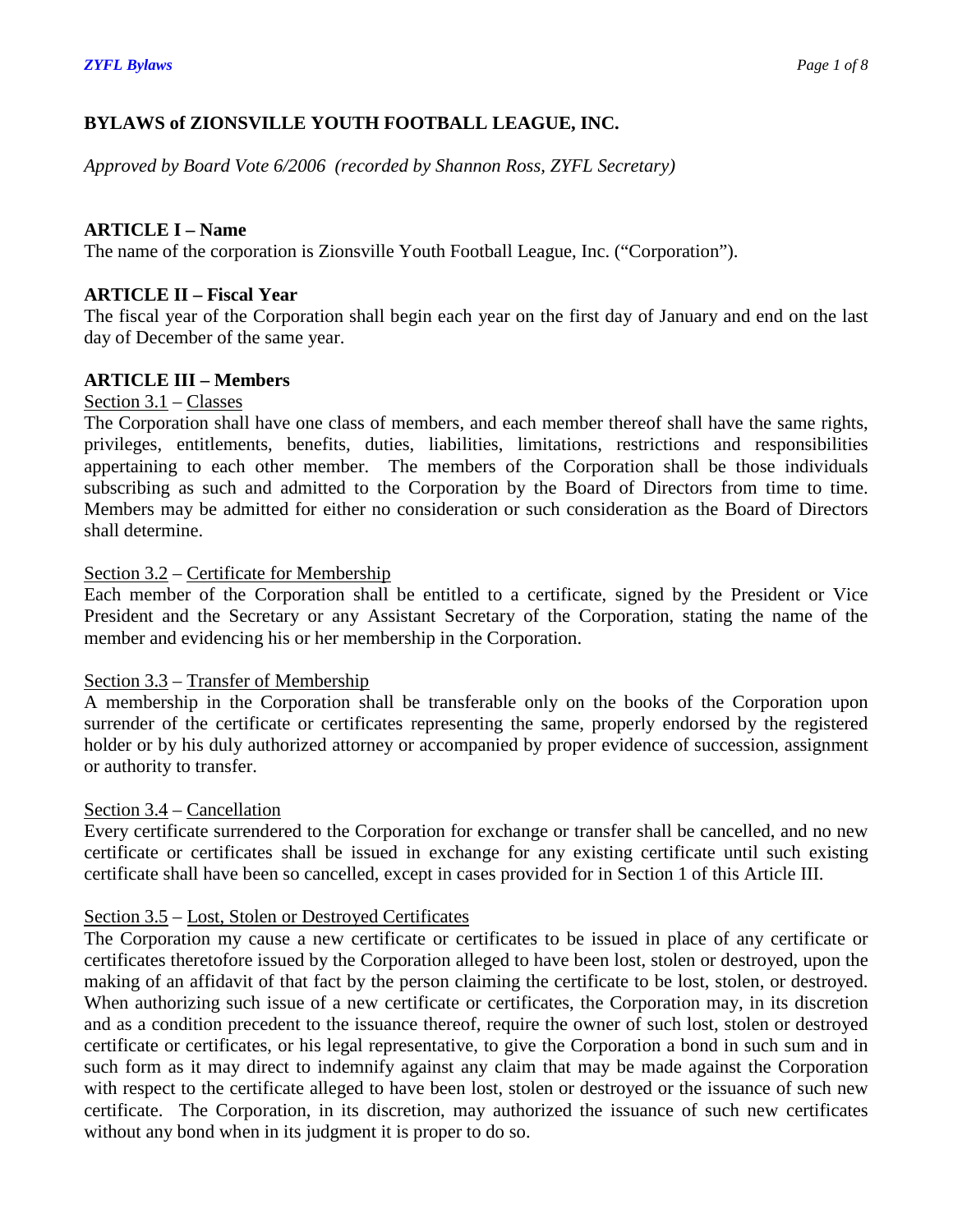# **BYLAWS of ZIONSVILLE YOUTH FOOTBALL LEAGUE, INC.**

*Approved by Board Vote 6/2006 (recorded by Shannon Ross, ZYFL Secretary)*

# **ARTICLE I – Name**

The name of the corporation is Zionsville Youth Football League, Inc. ("Corporation").

# **ARTICLE II – Fiscal Year**

The fiscal year of the Corporation shall begin each year on the first day of January and end on the last day of December of the same year.

# **ARTICLE III – Members**

# Section 3.1 – Classes

The Corporation shall have one class of members, and each member thereof shall have the same rights, privileges, entitlements, benefits, duties, liabilities, limitations, restrictions and responsibilities appertaining to each other member. The members of the Corporation shall be those individuals subscribing as such and admitted to the Corporation by the Board of Directors from time to time. Members may be admitted for either no consideration or such consideration as the Board of Directors shall determine.

# Section 3.2 – Certificate for Membership

Each member of the Corporation shall be entitled to a certificate, signed by the President or Vice President and the Secretary or any Assistant Secretary of the Corporation, stating the name of the member and evidencing his or her membership in the Corporation.

# Section 3.3 – Transfer of Membership

A membership in the Corporation shall be transferable only on the books of the Corporation upon surrender of the certificate or certificates representing the same, properly endorsed by the registered holder or by his duly authorized attorney or accompanied by proper evidence of succession, assignment or authority to transfer.

# Section 3.4 – Cancellation

Every certificate surrendered to the Corporation for exchange or transfer shall be cancelled, and no new certificate or certificates shall be issued in exchange for any existing certificate until such existing certificate shall have been so cancelled, except in cases provided for in Section 1 of this Article III.

# Section 3.5 – Lost, Stolen or Destroyed Certificates

The Corporation my cause a new certificate or certificates to be issued in place of any certificate or certificates theretofore issued by the Corporation alleged to have been lost, stolen or destroyed, upon the making of an affidavit of that fact by the person claiming the certificate to be lost, stolen, or destroyed. When authorizing such issue of a new certificate or certificates, the Corporation may, in its discretion and as a condition precedent to the issuance thereof, require the owner of such lost, stolen or destroyed certificate or certificates, or his legal representative, to give the Corporation a bond in such sum and in such form as it may direct to indemnify against any claim that may be made against the Corporation with respect to the certificate alleged to have been lost, stolen or destroyed or the issuance of such new certificate. The Corporation, in its discretion, may authorized the issuance of such new certificates without any bond when in its judgment it is proper to do so.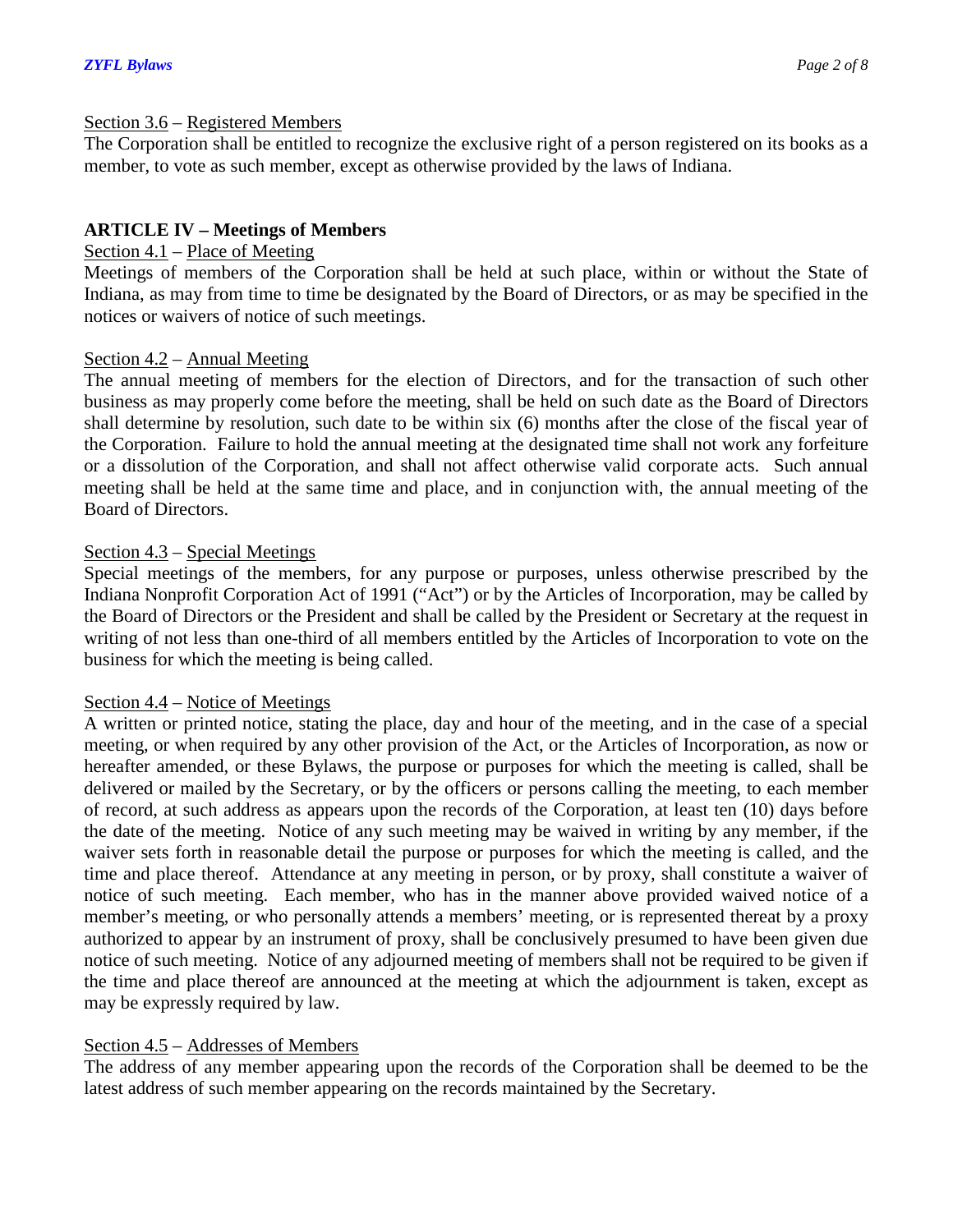#### Section 3.6 – Registered Members

The Corporation shall be entitled to recognize the exclusive right of a person registered on its books as a member, to vote as such member, except as otherwise provided by the laws of Indiana.

# **ARTICLE IV – Meetings of Members**

# Section 4.1 – Place of Meeting

Meetings of members of the Corporation shall be held at such place, within or without the State of Indiana, as may from time to time be designated by the Board of Directors, or as may be specified in the notices or waivers of notice of such meetings.

# Section 4.2 – Annual Meeting

The annual meeting of members for the election of Directors, and for the transaction of such other business as may properly come before the meeting, shall be held on such date as the Board of Directors shall determine by resolution, such date to be within six (6) months after the close of the fiscal year of the Corporation. Failure to hold the annual meeting at the designated time shall not work any forfeiture or a dissolution of the Corporation, and shall not affect otherwise valid corporate acts. Such annual meeting shall be held at the same time and place, and in conjunction with, the annual meeting of the Board of Directors.

# Section 4.3 – Special Meetings

Special meetings of the members, for any purpose or purposes, unless otherwise prescribed by the Indiana Nonprofit Corporation Act of 1991 ("Act") or by the Articles of Incorporation, may be called by the Board of Directors or the President and shall be called by the President or Secretary at the request in writing of not less than one-third of all members entitled by the Articles of Incorporation to vote on the business for which the meeting is being called.

# Section 4.4 – Notice of Meetings

A written or printed notice, stating the place, day and hour of the meeting, and in the case of a special meeting, or when required by any other provision of the Act, or the Articles of Incorporation, as now or hereafter amended, or these Bylaws, the purpose or purposes for which the meeting is called, shall be delivered or mailed by the Secretary, or by the officers or persons calling the meeting, to each member of record, at such address as appears upon the records of the Corporation, at least ten (10) days before the date of the meeting. Notice of any such meeting may be waived in writing by any member, if the waiver sets forth in reasonable detail the purpose or purposes for which the meeting is called, and the time and place thereof. Attendance at any meeting in person, or by proxy, shall constitute a waiver of notice of such meeting. Each member, who has in the manner above provided waived notice of a member's meeting, or who personally attends a members' meeting, or is represented thereat by a proxy authorized to appear by an instrument of proxy, shall be conclusively presumed to have been given due notice of such meeting. Notice of any adjourned meeting of members shall not be required to be given if the time and place thereof are announced at the meeting at which the adjournment is taken, except as may be expressly required by law.

# Section 4.5 – Addresses of Members

The address of any member appearing upon the records of the Corporation shall be deemed to be the latest address of such member appearing on the records maintained by the Secretary.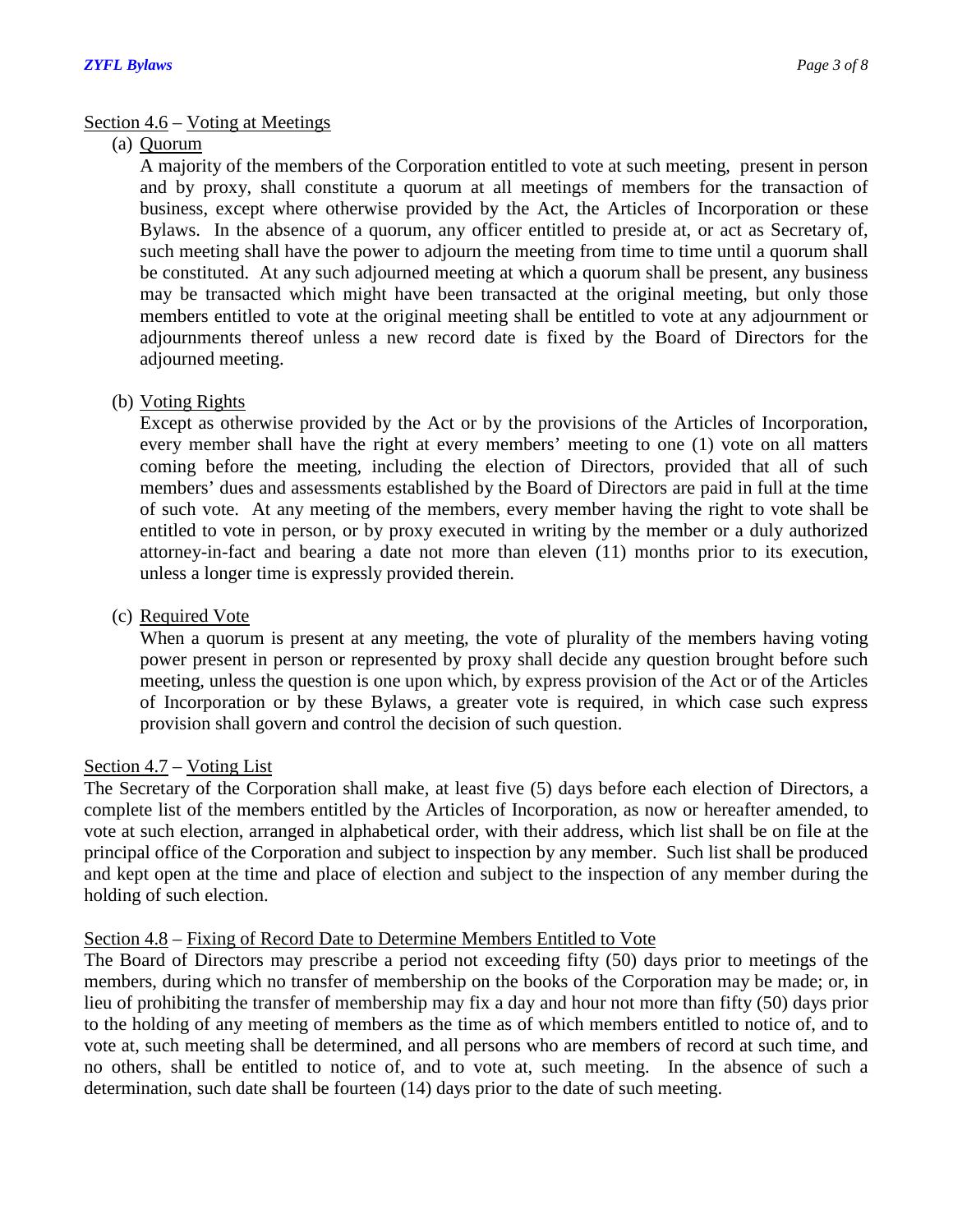# Section 4.6 – Voting at Meetings

# (a) Quorum

A majority of the members of the Corporation entitled to vote at such meeting, present in person and by proxy, shall constitute a quorum at all meetings of members for the transaction of business, except where otherwise provided by the Act, the Articles of Incorporation or these Bylaws. In the absence of a quorum, any officer entitled to preside at, or act as Secretary of, such meeting shall have the power to adjourn the meeting from time to time until a quorum shall be constituted. At any such adjourned meeting at which a quorum shall be present, any business may be transacted which might have been transacted at the original meeting, but only those members entitled to vote at the original meeting shall be entitled to vote at any adjournment or adjournments thereof unless a new record date is fixed by the Board of Directors for the adjourned meeting.

# (b) Voting Rights

Except as otherwise provided by the Act or by the provisions of the Articles of Incorporation, every member shall have the right at every members' meeting to one (1) vote on all matters coming before the meeting, including the election of Directors, provided that all of such members' dues and assessments established by the Board of Directors are paid in full at the time of such vote. At any meeting of the members, every member having the right to vote shall be entitled to vote in person, or by proxy executed in writing by the member or a duly authorized attorney-in-fact and bearing a date not more than eleven (11) months prior to its execution, unless a longer time is expressly provided therein.

# (c) Required Vote

When a quorum is present at any meeting, the vote of plurality of the members having voting power present in person or represented by proxy shall decide any question brought before such meeting, unless the question is one upon which, by express provision of the Act or of the Articles of Incorporation or by these Bylaws, a greater vote is required, in which case such express provision shall govern and control the decision of such question.

# Section 4.7 – Voting List

The Secretary of the Corporation shall make, at least five (5) days before each election of Directors, a complete list of the members entitled by the Articles of Incorporation, as now or hereafter amended, to vote at such election, arranged in alphabetical order, with their address, which list shall be on file at the principal office of the Corporation and subject to inspection by any member. Such list shall be produced and kept open at the time and place of election and subject to the inspection of any member during the holding of such election.

# Section 4.8 – Fixing of Record Date to Determine Members Entitled to Vote

The Board of Directors may prescribe a period not exceeding fifty (50) days prior to meetings of the members, during which no transfer of membership on the books of the Corporation may be made; or, in lieu of prohibiting the transfer of membership may fix a day and hour not more than fifty (50) days prior to the holding of any meeting of members as the time as of which members entitled to notice of, and to vote at, such meeting shall be determined, and all persons who are members of record at such time, and no others, shall be entitled to notice of, and to vote at, such meeting. In the absence of such a determination, such date shall be fourteen (14) days prior to the date of such meeting.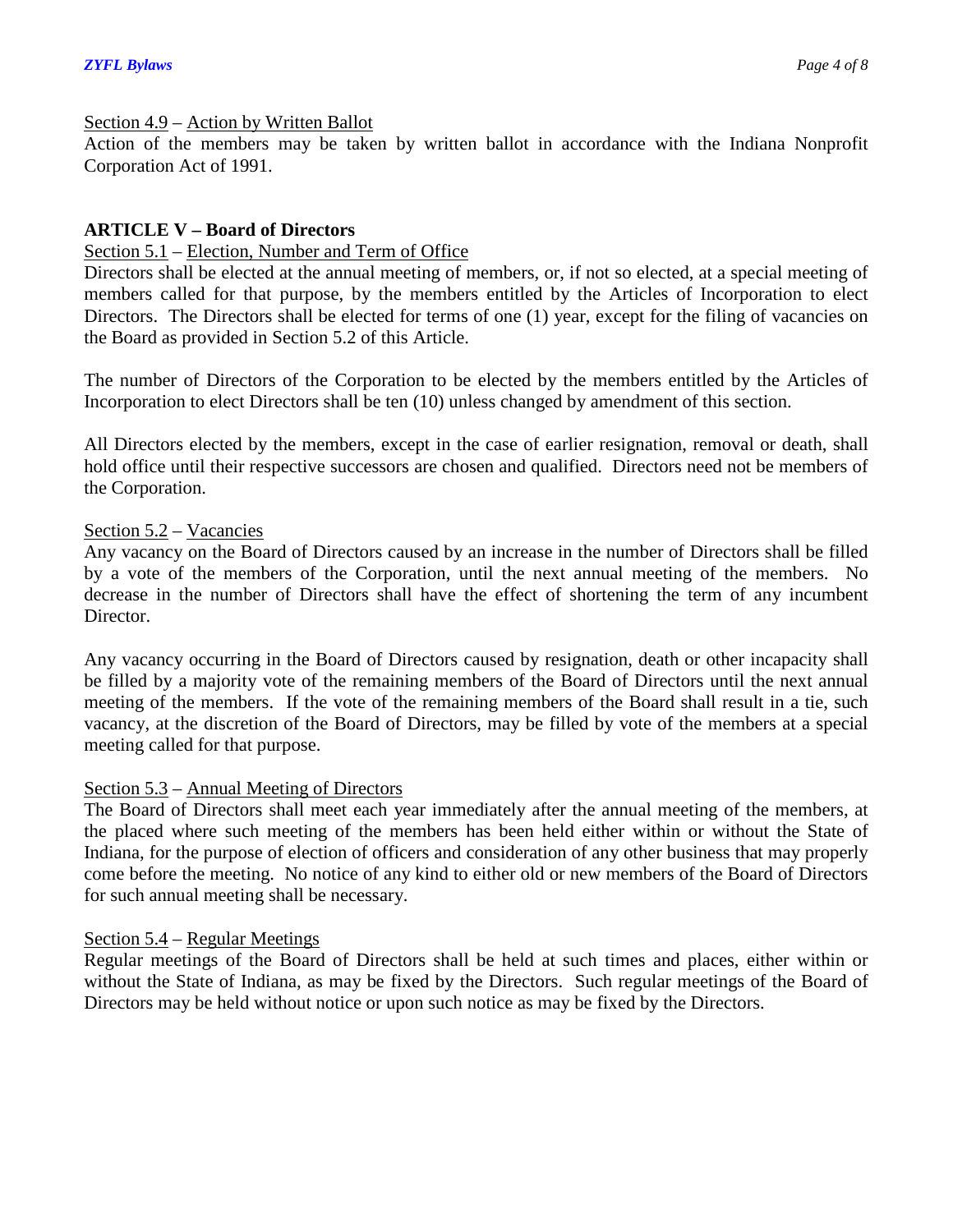### Section 4.9 – Action by Written Ballot

Action of the members may be taken by written ballot in accordance with the Indiana Nonprofit Corporation Act of 1991.

# **ARTICLE V – Board of Directors**

### Section 5.1 – Election, Number and Term of Office

Directors shall be elected at the annual meeting of members, or, if not so elected, at a special meeting of members called for that purpose, by the members entitled by the Articles of Incorporation to elect Directors. The Directors shall be elected for terms of one (1) year, except for the filing of vacancies on the Board as provided in Section 5.2 of this Article.

The number of Directors of the Corporation to be elected by the members entitled by the Articles of Incorporation to elect Directors shall be ten (10) unless changed by amendment of this section.

All Directors elected by the members, except in the case of earlier resignation, removal or death, shall hold office until their respective successors are chosen and qualified. Directors need not be members of the Corporation.

# Section 5.2 – Vacancies

Any vacancy on the Board of Directors caused by an increase in the number of Directors shall be filled by a vote of the members of the Corporation, until the next annual meeting of the members. No decrease in the number of Directors shall have the effect of shortening the term of any incumbent Director.

Any vacancy occurring in the Board of Directors caused by resignation, death or other incapacity shall be filled by a majority vote of the remaining members of the Board of Directors until the next annual meeting of the members. If the vote of the remaining members of the Board shall result in a tie, such vacancy, at the discretion of the Board of Directors, may be filled by vote of the members at a special meeting called for that purpose.

# Section 5.3 – Annual Meeting of Directors

The Board of Directors shall meet each year immediately after the annual meeting of the members, at the placed where such meeting of the members has been held either within or without the State of Indiana, for the purpose of election of officers and consideration of any other business that may properly come before the meeting. No notice of any kind to either old or new members of the Board of Directors for such annual meeting shall be necessary.

#### Section 5.4 – Regular Meetings

Regular meetings of the Board of Directors shall be held at such times and places, either within or without the State of Indiana, as may be fixed by the Directors. Such regular meetings of the Board of Directors may be held without notice or upon such notice as may be fixed by the Directors.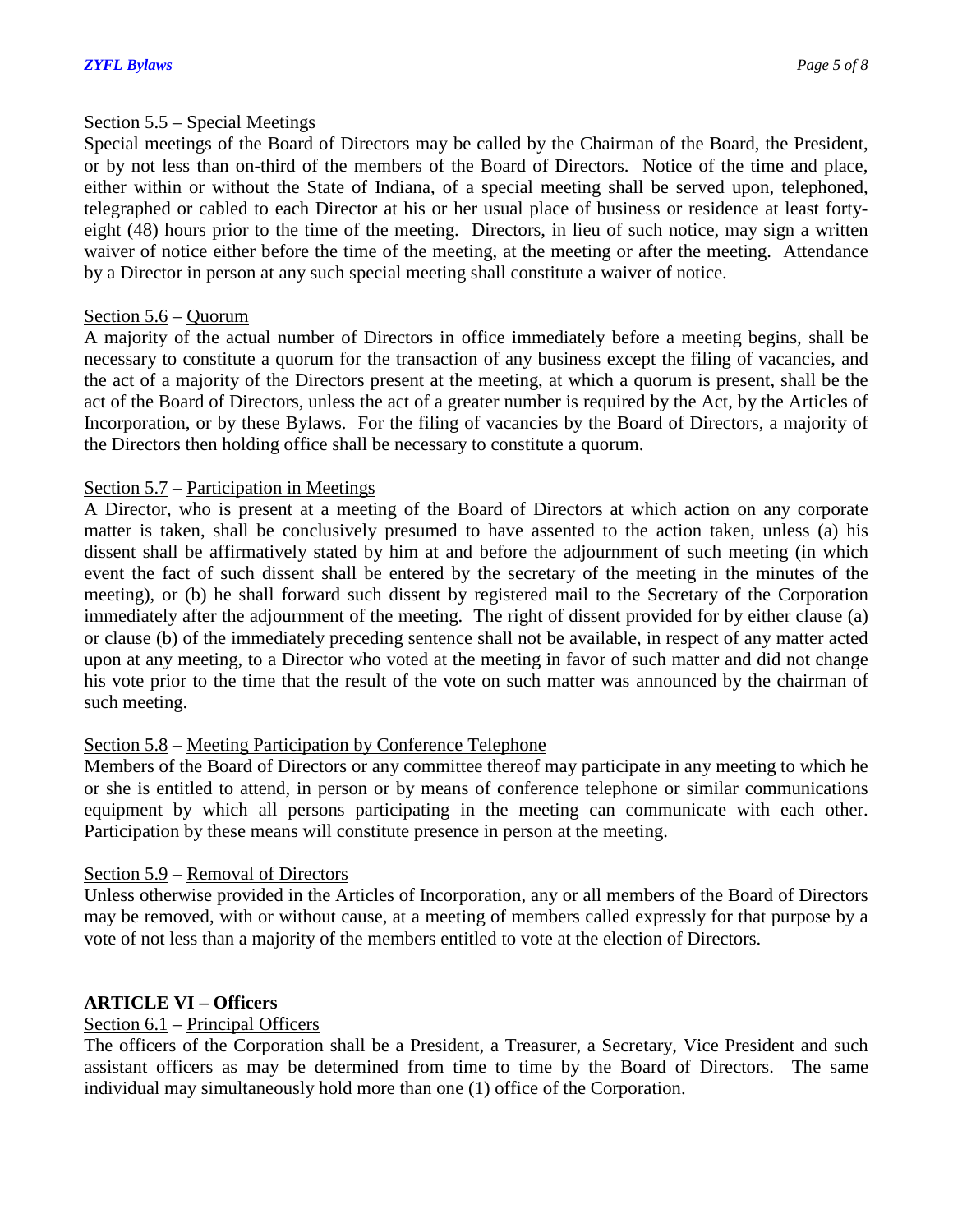#### Section 5.5 – Special Meetings

Special meetings of the Board of Directors may be called by the Chairman of the Board, the President, or by not less than on-third of the members of the Board of Directors. Notice of the time and place, either within or without the State of Indiana, of a special meeting shall be served upon, telephoned, telegraphed or cabled to each Director at his or her usual place of business or residence at least fortyeight (48) hours prior to the time of the meeting. Directors, in lieu of such notice, may sign a written waiver of notice either before the time of the meeting, at the meeting or after the meeting. Attendance by a Director in person at any such special meeting shall constitute a waiver of notice.

# Section 5.6 – Quorum

A majority of the actual number of Directors in office immediately before a meeting begins, shall be necessary to constitute a quorum for the transaction of any business except the filing of vacancies, and the act of a majority of the Directors present at the meeting, at which a quorum is present, shall be the act of the Board of Directors, unless the act of a greater number is required by the Act, by the Articles of Incorporation, or by these Bylaws. For the filing of vacancies by the Board of Directors, a majority of the Directors then holding office shall be necessary to constitute a quorum.

# Section 5.7 – Participation in Meetings

A Director, who is present at a meeting of the Board of Directors at which action on any corporate matter is taken, shall be conclusively presumed to have assented to the action taken, unless (a) his dissent shall be affirmatively stated by him at and before the adjournment of such meeting (in which event the fact of such dissent shall be entered by the secretary of the meeting in the minutes of the meeting), or (b) he shall forward such dissent by registered mail to the Secretary of the Corporation immediately after the adjournment of the meeting. The right of dissent provided for by either clause (a) or clause (b) of the immediately preceding sentence shall not be available, in respect of any matter acted upon at any meeting, to a Director who voted at the meeting in favor of such matter and did not change his vote prior to the time that the result of the vote on such matter was announced by the chairman of such meeting.

# Section 5.8 – Meeting Participation by Conference Telephone

Members of the Board of Directors or any committee thereof may participate in any meeting to which he or she is entitled to attend, in person or by means of conference telephone or similar communications equipment by which all persons participating in the meeting can communicate with each other. Participation by these means will constitute presence in person at the meeting.

# Section 5.9 – Removal of Directors

Unless otherwise provided in the Articles of Incorporation, any or all members of the Board of Directors may be removed, with or without cause, at a meeting of members called expressly for that purpose by a vote of not less than a majority of the members entitled to vote at the election of Directors.

# **ARTICLE VI – Officers**

# Section 6.1 – Principal Officers

The officers of the Corporation shall be a President, a Treasurer, a Secretary, Vice President and such assistant officers as may be determined from time to time by the Board of Directors. The same individual may simultaneously hold more than one (1) office of the Corporation.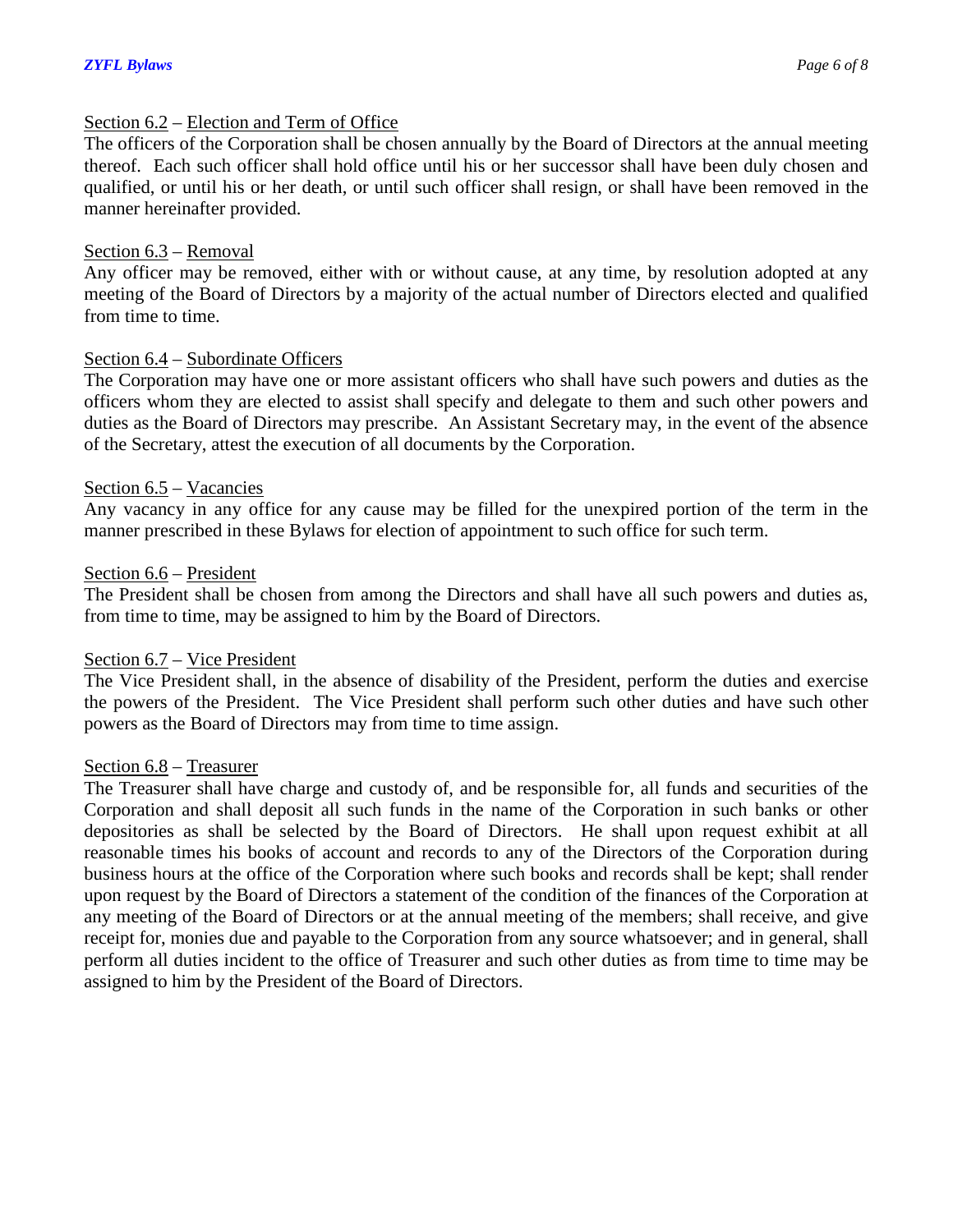#### Section 6.2 – Election and Term of Office

The officers of the Corporation shall be chosen annually by the Board of Directors at the annual meeting thereof. Each such officer shall hold office until his or her successor shall have been duly chosen and qualified, or until his or her death, or until such officer shall resign, or shall have been removed in the manner hereinafter provided.

### Section 6.3 – Removal

Any officer may be removed, either with or without cause, at any time, by resolution adopted at any meeting of the Board of Directors by a majority of the actual number of Directors elected and qualified from time to time.

#### Section 6.4 – Subordinate Officers

The Corporation may have one or more assistant officers who shall have such powers and duties as the officers whom they are elected to assist shall specify and delegate to them and such other powers and duties as the Board of Directors may prescribe. An Assistant Secretary may, in the event of the absence of the Secretary, attest the execution of all documents by the Corporation.

#### Section 6.5 – Vacancies

Any vacancy in any office for any cause may be filled for the unexpired portion of the term in the manner prescribed in these Bylaws for election of appointment to such office for such term.

#### Section 6.6 – President

The President shall be chosen from among the Directors and shall have all such powers and duties as, from time to time, may be assigned to him by the Board of Directors.

#### Section 6.7 – Vice President

The Vice President shall, in the absence of disability of the President, perform the duties and exercise the powers of the President. The Vice President shall perform such other duties and have such other powers as the Board of Directors may from time to time assign.

#### Section 6.8 – Treasurer

The Treasurer shall have charge and custody of, and be responsible for, all funds and securities of the Corporation and shall deposit all such funds in the name of the Corporation in such banks or other depositories as shall be selected by the Board of Directors. He shall upon request exhibit at all reasonable times his books of account and records to any of the Directors of the Corporation during business hours at the office of the Corporation where such books and records shall be kept; shall render upon request by the Board of Directors a statement of the condition of the finances of the Corporation at any meeting of the Board of Directors or at the annual meeting of the members; shall receive, and give receipt for, monies due and payable to the Corporation from any source whatsoever; and in general, shall perform all duties incident to the office of Treasurer and such other duties as from time to time may be assigned to him by the President of the Board of Directors.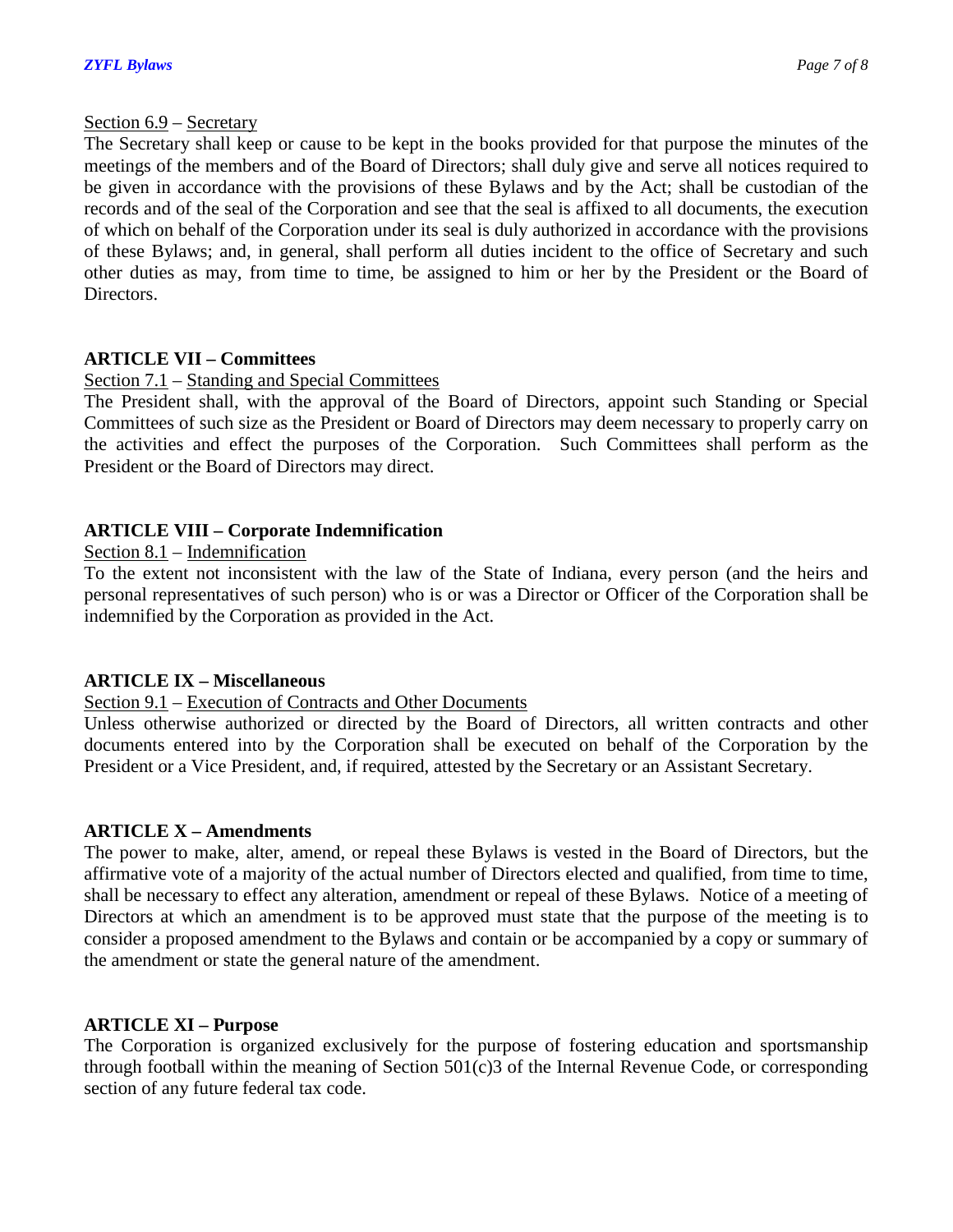### Section 6.9 – Secretary

The Secretary shall keep or cause to be kept in the books provided for that purpose the minutes of the meetings of the members and of the Board of Directors; shall duly give and serve all notices required to be given in accordance with the provisions of these Bylaws and by the Act; shall be custodian of the records and of the seal of the Corporation and see that the seal is affixed to all documents, the execution of which on behalf of the Corporation under its seal is duly authorized in accordance with the provisions of these Bylaws; and, in general, shall perform all duties incident to the office of Secretary and such other duties as may, from time to time, be assigned to him or her by the President or the Board of Directors.

# **ARTICLE VII – Committees**

# Section 7.1 – Standing and Special Committees

The President shall, with the approval of the Board of Directors, appoint such Standing or Special Committees of such size as the President or Board of Directors may deem necessary to properly carry on the activities and effect the purposes of the Corporation. Such Committees shall perform as the President or the Board of Directors may direct.

# **ARTICLE VIII – Corporate Indemnification**

# Section 8.1 – Indemnification

To the extent not inconsistent with the law of the State of Indiana, every person (and the heirs and personal representatives of such person) who is or was a Director or Officer of the Corporation shall be indemnified by the Corporation as provided in the Act.

# **ARTICLE IX – Miscellaneous**

# Section 9.1 – Execution of Contracts and Other Documents

Unless otherwise authorized or directed by the Board of Directors, all written contracts and other documents entered into by the Corporation shall be executed on behalf of the Corporation by the President or a Vice President, and, if required, attested by the Secretary or an Assistant Secretary.

# **ARTICLE X – Amendments**

The power to make, alter, amend, or repeal these Bylaws is vested in the Board of Directors, but the affirmative vote of a majority of the actual number of Directors elected and qualified, from time to time, shall be necessary to effect any alteration, amendment or repeal of these Bylaws. Notice of a meeting of Directors at which an amendment is to be approved must state that the purpose of the meeting is to consider a proposed amendment to the Bylaws and contain or be accompanied by a copy or summary of the amendment or state the general nature of the amendment.

# **ARTICLE XI – Purpose**

The Corporation is organized exclusively for the purpose of fostering education and sportsmanship through football within the meaning of Section 501(c)3 of the Internal Revenue Code, or corresponding section of any future federal tax code.